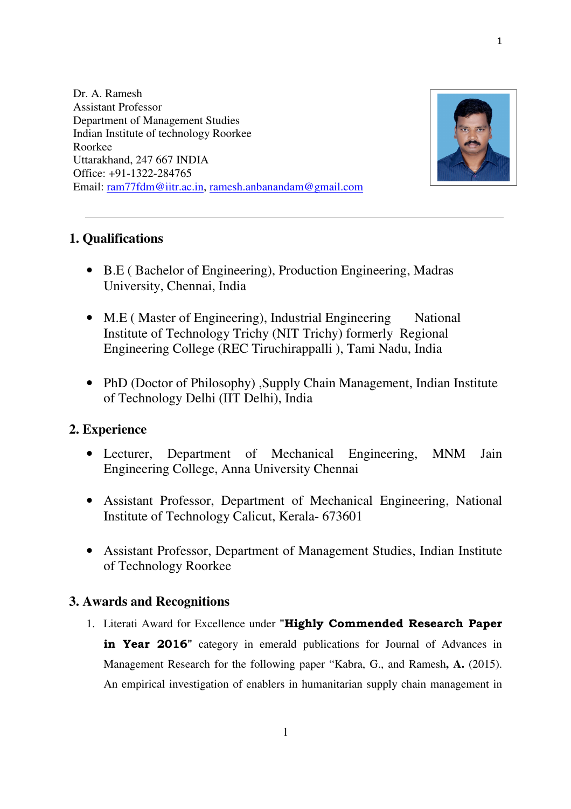Dr. A. Ramesh Assistant Professor Department of Management Studies Indian Institute of technology Roorkee Roorkee Uttarakhand, 247 667 INDIA Office: +91-1322-284765 Email: ram77fdm@iitr.ac.in, ramesh.anbanandam@gmail.com



1

# **1. Qualifications**

- B.E ( Bachelor of Engineering), Production Engineering, Madras University, Chennai, India
- M.E (Master of Engineering), Industrial Engineering National Institute of Technology Trichy (NIT Trichy) formerly Regional Engineering College (REC Tiruchirappalli ), Tami Nadu, India
- PhD (Doctor of Philosophy), Supply Chain Management, Indian Institute of Technology Delhi (IIT Delhi), India

# **2. Experience**

- Lecturer, Department of Mechanical Engineering, MNM Jain Engineering College, Anna University Chennai
- Assistant Professor, Department of Mechanical Engineering, National Institute of Technology Calicut, Kerala- 673601
- Assistant Professor, Department of Management Studies, Indian Institute of Technology Roorkee

## **3. Awards and Recognitions**

1. Literati Award for Excellence under **"Highly Commended Research Paper in Year 2016**" category in emerald publications for Journal of Advances in Management Research for the following paper "Kabra, G., and Ramesh**, A.** (2015). An empirical investigation of enablers in humanitarian supply chain management in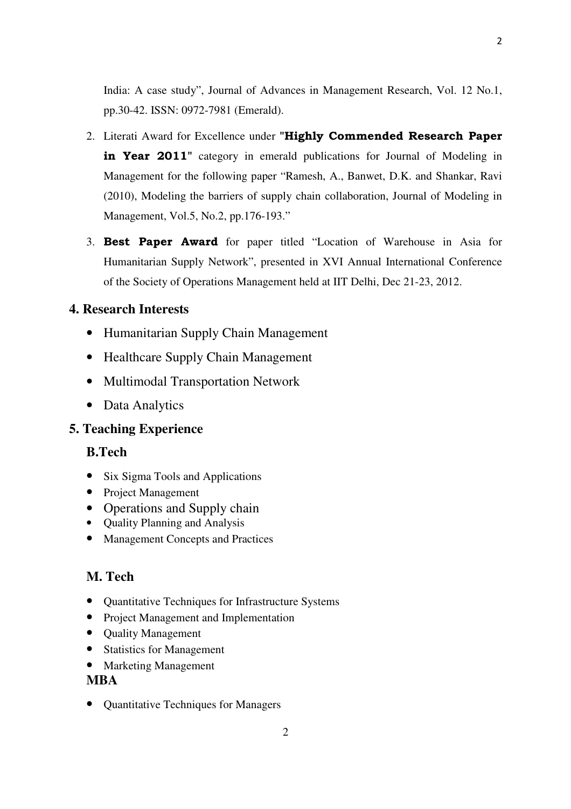India: A case study", Journal of Advances in Management Research, Vol. 12 No.1, pp.30-42. ISSN: 0972-7981 (Emerald).

- 2. Literati Award for Excellence under **"Highly Commended Research Paper in Year 2011**" category in emerald publications for Journal of Modeling in Management for the following paper "Ramesh, A., Banwet, D.K. and Shankar, Ravi (2010), Modeling the barriers of supply chain collaboration, Journal of Modeling in Management, Vol.5, No.2, pp.176-193."
- 3. **Best Paper Award** for paper titled "Location of Warehouse in Asia for Humanitarian Supply Network", presented in XVI Annual International Conference of the Society of Operations Management held at IIT Delhi, Dec 21-23, 2012.

# **4. Research Interests**

- Humanitarian Supply Chain Management
- Healthcare Supply Chain Management
- Multimodal Transportation Network
- Data Analytics

# **5. Teaching Experience**

# **B.Tech**

- Six Sigma Tools and Applications
- Project Management
- Operations and Supply chain
- Quality Planning and Analysis
- Management Concepts and Practices

# **M. Tech**

- Quantitative Techniques for Infrastructure Systems
- Project Management and Implementation
- Quality Management
- Statistics for Management
- Marketing Management

## **MBA**

• Quantitative Techniques for Managers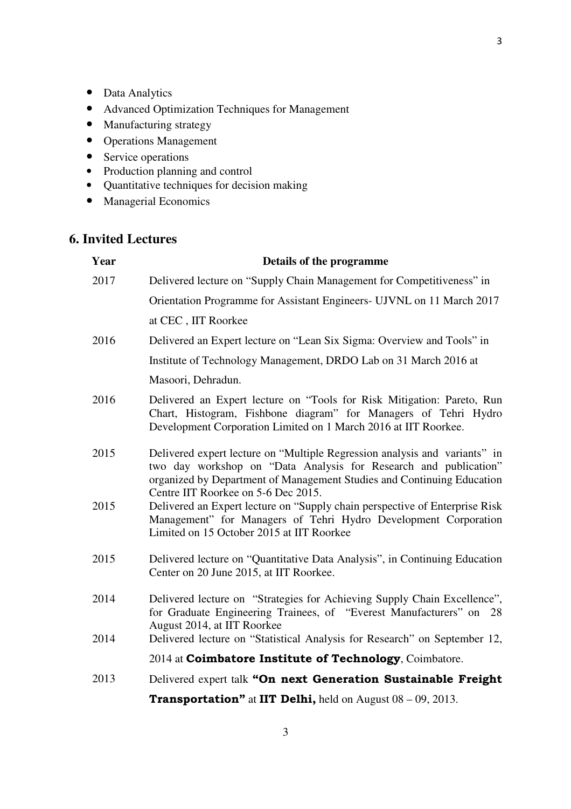3

- Data Analytics
- Advanced Optimization Techniques for Management
- Manufacturing strategy
- Operations Management
- Service operations
- Production planning and control
- Quantitative techniques for decision making
- Managerial Economics

# **6. Invited Lectures**

| Year | Details of the programme                                                                                                                                                                                                                                        |
|------|-----------------------------------------------------------------------------------------------------------------------------------------------------------------------------------------------------------------------------------------------------------------|
| 2017 | Delivered lecture on "Supply Chain Management for Competitiveness" in                                                                                                                                                                                           |
|      | Orientation Programme for Assistant Engineers- UJVNL on 11 March 2017                                                                                                                                                                                           |
|      | at CEC, IIT Roorkee                                                                                                                                                                                                                                             |
| 2016 | Delivered an Expert lecture on "Lean Six Sigma: Overview and Tools" in                                                                                                                                                                                          |
|      | Institute of Technology Management, DRDO Lab on 31 March 2016 at                                                                                                                                                                                                |
|      | Masoori, Dehradun.                                                                                                                                                                                                                                              |
| 2016 | Delivered an Expert lecture on "Tools for Risk Mitigation: Pareto, Run<br>Chart, Histogram, Fishbone diagram" for Managers of Tehri Hydro<br>Development Corporation Limited on 1 March 2016 at IIT Roorkee.                                                    |
| 2015 | Delivered expert lecture on "Multiple Regression analysis and variants" in<br>two day workshop on "Data Analysis for Research and publication"<br>organized by Department of Management Studies and Continuing Education<br>Centre IIT Roorkee on 5-6 Dec 2015. |
| 2015 | Delivered an Expert lecture on "Supply chain perspective of Enterprise Risk<br>Management" for Managers of Tehri Hydro Development Corporation<br>Limited on 15 October 2015 at IIT Roorkee                                                                     |
| 2015 | Delivered lecture on "Quantitative Data Analysis", in Continuing Education<br>Center on 20 June 2015, at IIT Roorkee.                                                                                                                                           |
| 2014 | Delivered lecture on "Strategies for Achieving Supply Chain Excellence",<br>for Graduate Engineering Trainees, of "Everest Manufacturers" on 28<br>August 2014, at IIT Roorkee                                                                                  |
| 2014 | Delivered lecture on "Statistical Analysis for Research" on September 12,                                                                                                                                                                                       |
|      | 2014 at Coimbatore Institute of Technology, Coimbatore.                                                                                                                                                                                                         |
| 2013 | Delivered expert talk "On next Generation Sustainable Freight                                                                                                                                                                                                   |
|      | <b>Transportation"</b> at IIT Delhi, held on August $08 - 09$ , 2013.                                                                                                                                                                                           |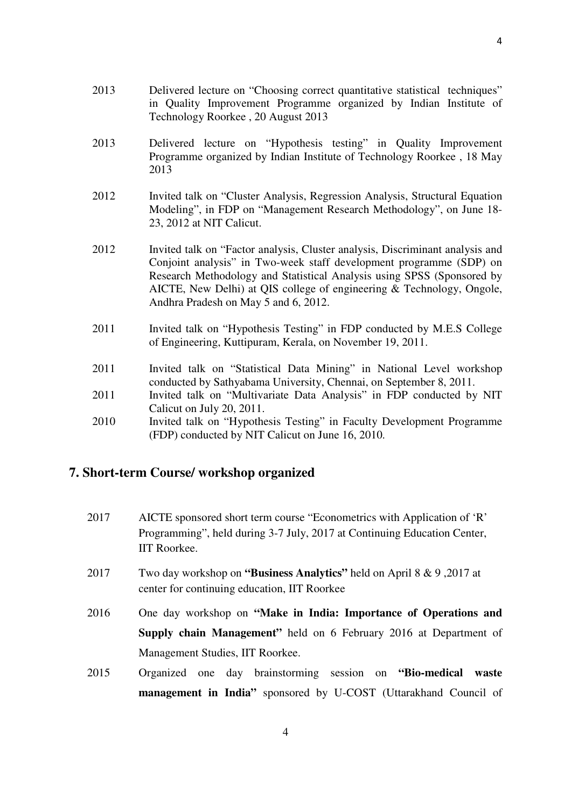- 2013 Delivered lecture on "Choosing correct quantitative statistical techniques" in Quality Improvement Programme organized by Indian Institute of Technology Roorkee , 20 August 2013
- 2013 Delivered lecture on "Hypothesis testing" in Quality Improvement Programme organized by Indian Institute of Technology Roorkee , 18 May 2013
- 2012 Invited talk on "Cluster Analysis, Regression Analysis, Structural Equation Modeling", in FDP on "Management Research Methodology", on June 18- 23, 2012 at NIT Calicut.
- 2012 Invited talk on "Factor analysis, Cluster analysis, Discriminant analysis and Conjoint analysis" in Two-week staff development programme (SDP) on Research Methodology and Statistical Analysis using SPSS (Sponsored by AICTE, New Delhi) at QIS college of engineering & Technology, Ongole, Andhra Pradesh on May 5 and 6, 2012.
- 2011 Invited talk on "Hypothesis Testing" in FDP conducted by M.E.S College of Engineering, Kuttipuram, Kerala, on November 19, 2011.
- 2011 Invited talk on "Statistical Data Mining" in National Level workshop conducted by Sathyabama University, Chennai, on September 8, 2011.
- 2011 Invited talk on "Multivariate Data Analysis" in FDP conducted by NIT Calicut on July 20, 2011.
- 2010 Invited talk on "Hypothesis Testing" in Faculty Development Programme (FDP) conducted by NIT Calicut on June 16, 2010.

### **7. Short-term Course/ workshop organized**

- 2017 AICTE sponsored short term course "Econometrics with Application of 'R' Programming", held during 3-7 July, 2017 at Continuing Education Center, IIT Roorkee.
- 2017 Two day workshop on **"Business Analytics"** held on April 8 & 9 ,2017 at center for continuing education, IIT Roorkee
- 2016 One day workshop on **"Make in India: Importance of Operations and Supply chain Management"** held on 6 February 2016 at Department of Management Studies, IIT Roorkee.
- 2015 Organized one day brainstorming session on **"Bio-medical waste management in India"** sponsored by U-COST (Uttarakhand Council of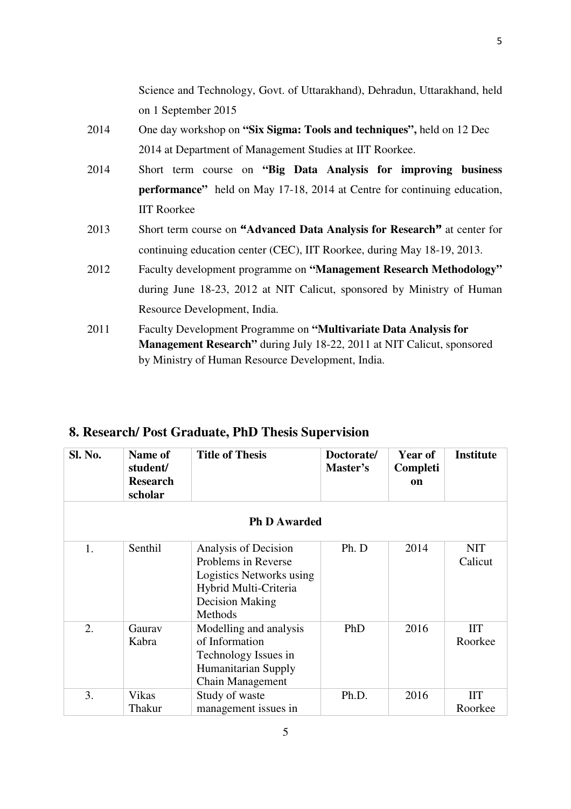Science and Technology, Govt. of Uttarakhand), Dehradun, Uttarakhand, held on 1 September 2015

- 2014 One day workshop on **"Six Sigma: Tools and techniques",** held on 12 Dec 2014 at Department of Management Studies at IIT Roorkee.
- 2014 Short term course on **"Big Data Analysis for improving business performance"** held on May 17-18, 2014 at Centre for continuing education, IIT Roorkee
- 2013 Short term course on **"Advanced Data Analysis for Research"** at center for continuing education center (CEC), IIT Roorkee, during May 18-19, 2013.
- 2012 Faculty development programme on **"Management Research Methodology"** during June 18-23, 2012 at NIT Calicut, sponsored by Ministry of Human Resource Development, India.
- 2011 Faculty Development Programme on **"Multivariate Data Analysis for Management Research"** during July 18-22, 2011 at NIT Calicut, sponsored by Ministry of Human Resource Development, India.

| <b>Sl. No.</b> | Name of<br>student/<br><b>Research</b><br>scholar | <b>Title of Thesis</b>                                                                                                         | Doctorate/<br>Master's | <b>Year of</b><br>Completi<br><b>on</b> | <b>Institute</b>      |
|----------------|---------------------------------------------------|--------------------------------------------------------------------------------------------------------------------------------|------------------------|-----------------------------------------|-----------------------|
|                |                                                   | <b>Ph D Awarded</b>                                                                                                            |                        |                                         |                       |
| 1.             | Senthil                                           | Analysis of Decision<br>Problems in Reverse<br>Logistics Networks using<br>Hybrid Multi-Criteria<br>Decision Making<br>Methods | Ph. D                  | 2014                                    | <b>NIT</b><br>Calicut |
| 2.             | Gaurav<br>Kabra                                   | Modelling and analysis<br>of Information<br>Technology Issues in<br>Humanitarian Supply<br>Chain Management                    | PhD                    | 2016                                    | <b>IIT</b><br>Roorkee |
| 3.             | Vikas<br>Thakur                                   | Study of waste<br>management issues in                                                                                         | Ph.D.                  | 2016                                    | <b>IIT</b><br>Roorkee |

## **8. Research/ Post Graduate, PhD Thesis Supervision**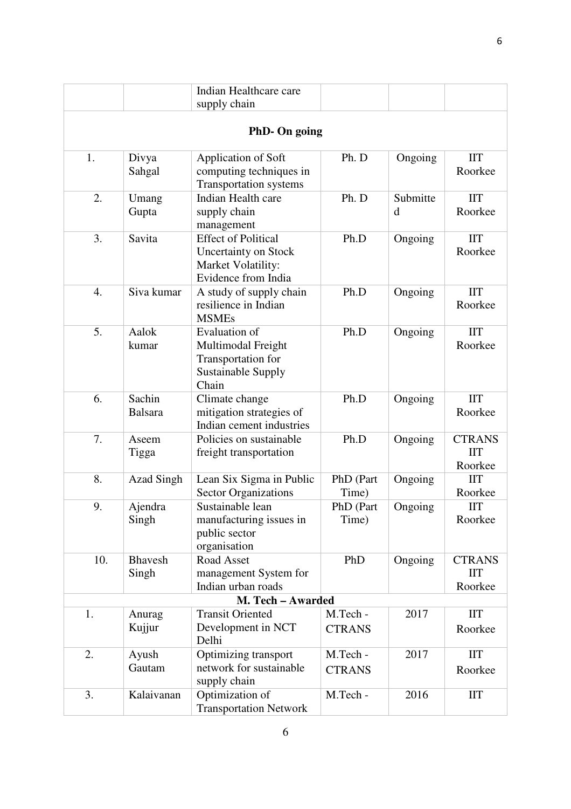|     |                          | Indian Healthcare care<br>supply chain                                                                 |                           |               |                                               |
|-----|--------------------------|--------------------------------------------------------------------------------------------------------|---------------------------|---------------|-----------------------------------------------|
|     |                          | PhD- On going                                                                                          |                           |               |                                               |
|     |                          |                                                                                                        |                           |               |                                               |
| 1.  | Divya<br>Sahgal          | Application of Soft<br>computing techniques in<br>Transportation systems                               | Ph. D                     | Ongoing       | <b>IIT</b><br>Roorkee                         |
| 2.  | Umang<br>Gupta           | Indian Health care<br>supply chain<br>management                                                       | Ph. D                     | Submitte<br>d | <b>IIT</b><br>Roorkee                         |
| 3.  | Savita                   | <b>Effect of Political</b><br><b>Uncertainty on Stock</b><br>Market Volatility:<br>Evidence from India | Ph.D                      | Ongoing       | <b>IIT</b><br>Roorkee                         |
| 4.  | Siva kumar               | A study of supply chain<br>resilience in Indian<br><b>MSMEs</b>                                        | Ph.D                      | Ongoing       | <b>IIT</b><br>Roorkee                         |
| 5.  | Aalok<br>kumar           | <b>Evaluation of</b><br>Multimodal Freight<br>Transportation for<br><b>Sustainable Supply</b><br>Chain | Ph.D                      | Ongoing       | $\mathbf{I} \mathbf{I} \mathbf{T}$<br>Roorkee |
| 6.  | Sachin<br><b>Balsara</b> | Climate change<br>mitigation strategies of<br>Indian cement industries                                 | Ph.D                      | Ongoing       | <b>IIT</b><br>Roorkee                         |
| 7.  | Aseem<br>Tigga           | Policies on sustainable<br>freight transportation                                                      | Ph.D                      | Ongoing       | <b>CTRANS</b><br><b>IIT</b><br>Roorkee        |
| 8.  | <b>Azad Singh</b>        | Lean Six Sigma in Public<br><b>Sector Organizations</b>                                                | PhD (Part<br>Time)        | Ongoing       | <b>IIT</b><br>Roorkee                         |
| 9.  | Ajendra<br>Singh         | Sustainable lean<br>manufacturing issues in<br>public sector<br>organisation                           | PhD (Part<br>Time)        | Ongoing       | <b>IIT</b><br>Roorkee                         |
| 10. | <b>Bhavesh</b><br>Singh  | Road Asset<br>management System for<br>Indian urban roads                                              | PhD                       | Ongoing       | <b>CTRANS</b><br><b>IIT</b><br>Roorkee        |
|     | M. Tech - Awarded        |                                                                                                        |                           |               |                                               |
| 1.  | Anurag<br>Kujjur         | <b>Transit Oriented</b><br>Development in NCT<br>Delhi                                                 | M.Tech -<br><b>CTRANS</b> | 2017          | <b>IIT</b><br>Roorkee                         |
| 2.  | Ayush<br>Gautam          | Optimizing transport<br>network for sustainable<br>supply chain                                        | M.Tech -<br><b>CTRANS</b> | 2017          | $\mathbf{I} \mathbf{I} \mathbf{T}$<br>Roorkee |
| 3.  | Kalaivanan               | Optimization of<br><b>Transportation Network</b>                                                       | M.Tech -                  | 2016          | $\rm{IIT}$                                    |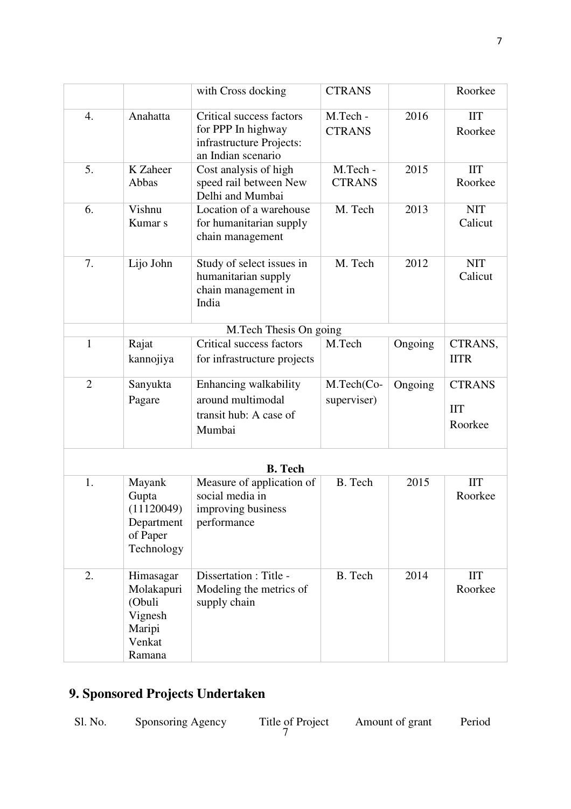|                |                                                                            | with Cross docking                                                                               | <b>CTRANS</b>             |         | Roorkee                                |
|----------------|----------------------------------------------------------------------------|--------------------------------------------------------------------------------------------------|---------------------------|---------|----------------------------------------|
|                |                                                                            |                                                                                                  |                           |         |                                        |
| 4.             | Anahatta                                                                   | Critical success factors<br>for PPP In highway<br>infrastructure Projects:<br>an Indian scenario | M.Tech -<br><b>CTRANS</b> | 2016    | <b>IIT</b><br>Roorkee                  |
| 5.             | K Zaheer<br>Abbas                                                          | Cost analysis of high<br>speed rail between New<br>Delhi and Mumbai                              | M.Tech -<br><b>CTRANS</b> | 2015    | <b>IIT</b><br>Roorkee                  |
| 6.             | Vishnu<br>Kumar <sub>s</sub>                                               | Location of a warehouse<br>for humanitarian supply<br>chain management                           | M. Tech                   | 2013    | <b>NIT</b><br>Calicut                  |
| 7.             | Lijo John                                                                  | Study of select issues in<br>humanitarian supply<br>chain management in<br>India                 | M. Tech                   | 2012    | <b>NIT</b><br>Calicut                  |
|                |                                                                            | M.Tech Thesis On going                                                                           |                           |         |                                        |
| $\mathbf{1}$   | Rajat                                                                      | Critical success factors                                                                         | M.Tech                    | Ongoing | CTRANS,                                |
|                | kannojiya                                                                  | for infrastructure projects                                                                      |                           |         | <b>IITR</b>                            |
| $\overline{2}$ | Sanyukta<br>Pagare                                                         | Enhancing walkability<br>around multimodal<br>transit hub: A case of<br>Mumbai                   | M.Tech(Co-<br>superviser) | Ongoing | <b>CTRANS</b><br><b>IIT</b><br>Roorkee |
|                |                                                                            | <b>B.</b> Tech                                                                                   |                           |         |                                        |
| 1.             | Mayank<br>Gupta<br>(11120049)<br>Department<br>of Paper<br>Technology      | Measure of application of<br>social media in<br>improving business<br>performance                | B. Tech                   | 2015    | <b>IIT</b><br>Roorkee                  |
| 2.             | Himasagar<br>Molakapuri<br>(Obuli<br>Vignesh<br>Maripi<br>Venkat<br>Ramana | Dissertation : Title -<br>Modeling the metrics of<br>supply chain                                | B. Tech                   | 2014    | <b>IIT</b><br>Roorkee                  |

# **9. Sponsored Projects Undertaken**

| Sl. No. | Sponsoring Agency | Title of Project | Amount of grant | Period |
|---------|-------------------|------------------|-----------------|--------|
|---------|-------------------|------------------|-----------------|--------|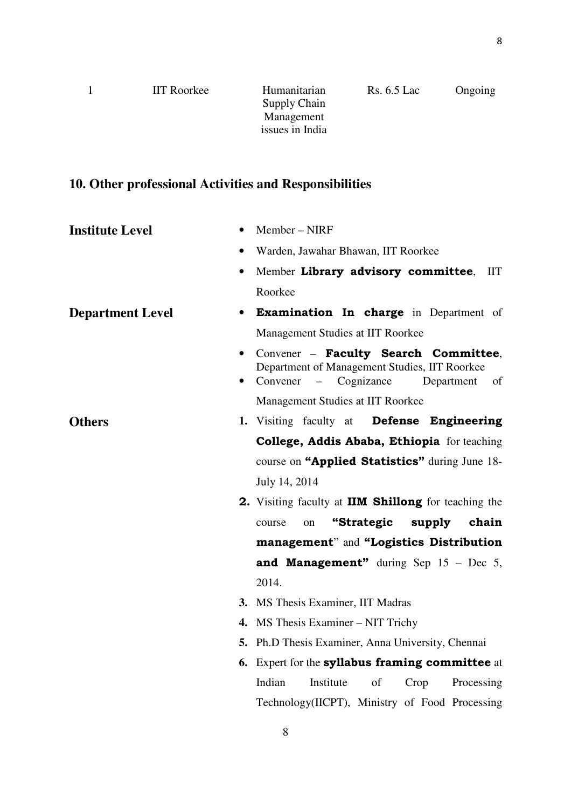| <b>IIT</b> Roorkee | Humanitarian    | $Rs. 6.5$ Lac | Ongoing |
|--------------------|-----------------|---------------|---------|
|                    | Supply Chain    |               |         |
|                    | Management      |               |         |
|                    | issues in India |               |         |
|                    |                 |               |         |

# **10. Other professional Activities and Responsibilities**

| <b>Institute Level</b><br>$\bullet$  | Member - NIRF                                                                                                                                   |
|--------------------------------------|-------------------------------------------------------------------------------------------------------------------------------------------------|
|                                      | Warden, Jawahar Bhawan, IIT Roorkee                                                                                                             |
| $\bullet$                            | Member Library advisory committee,<br>HT.                                                                                                       |
|                                      | Roorkee                                                                                                                                         |
| <b>Department Level</b><br>$\bullet$ | <b>Examination In charge</b> in Department of                                                                                                   |
|                                      | Management Studies at IIT Roorkee                                                                                                               |
| $\bullet$                            | Convener - Faculty Search Committee,<br>Department of Management Studies, IIT Roorkee<br>Cognizance<br>Convener<br>Department<br>of<br>$\equiv$ |
|                                      | Management Studies at IIT Roorkee                                                                                                               |
| <b>Others</b>                        | Defense Engineering<br><b>1.</b> Visiting faculty at                                                                                            |
|                                      | College, Addis Ababa, Ethiopia for teaching                                                                                                     |
|                                      | course on "Applied Statistics" during June 18-                                                                                                  |
|                                      | July 14, 2014                                                                                                                                   |
|                                      | 2. Visiting faculty at <b>IIM Shillong</b> for teaching the                                                                                     |
|                                      | "Strategic<br>supply<br>chain<br>course<br>on                                                                                                   |
|                                      | management" and "Logistics Distribution                                                                                                         |
|                                      | and Management" during Sep $15$ – Dec 5,                                                                                                        |
|                                      | 2014.                                                                                                                                           |
|                                      | 3. MS Thesis Examiner, IIT Madras                                                                                                               |
|                                      | 4. MS Thesis Examiner – NIT Trichy                                                                                                              |
|                                      | <b>5.</b> Ph.D Thesis Examiner, Anna University, Chennai                                                                                        |
|                                      | 6. Expert for the <b>syllabus framing committee</b> at                                                                                          |
|                                      | Indian<br>Institute<br>of<br>Processing<br>Crop                                                                                                 |
|                                      | Technology(IICPT), Ministry of Food Processing                                                                                                  |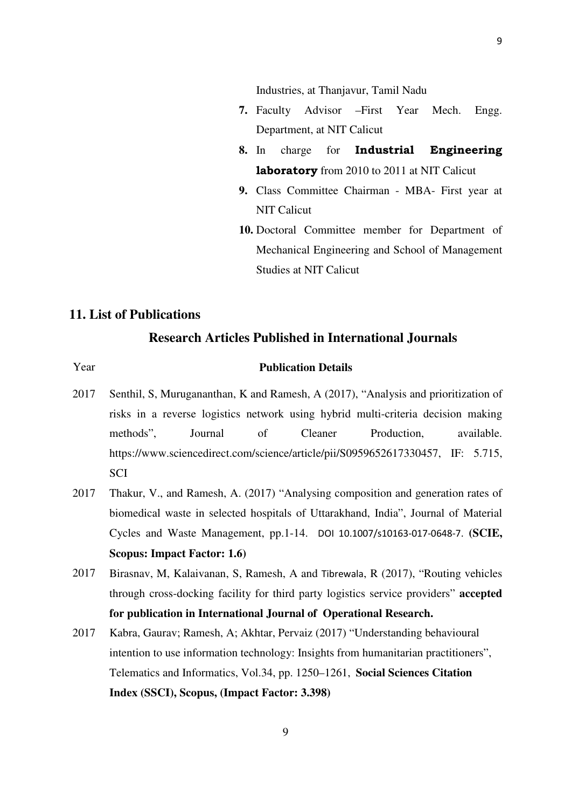Industries, at Thanjavur, Tamil Nadu

- **7.** Faculty Advisor –First Year Mech. Engg. Department, at NIT Calicut
- **8.** In charge for **Industrial Engineering laboratory** from 2010 to 2011 at NIT Calicut
- **9.** Class Committee Chairman MBA- First year at NIT Calicut
- **10.** Doctoral Committee member for Department of Mechanical Engineering and School of Management Studies at NIT Calicut

# **11. List of Publications**

### **Research Articles Published in International Journals**

#### Year **Publication Details**

- 2017 Senthil, S, Murugananthan, K and Ramesh, A (2017), "Analysis and prioritization of risks in a reverse logistics network using hybrid multi-criteria decision making methods", Journal of Cleaner Production, available. https://www.sciencedirect.com/science/article/pii/S0959652617330457, IF: 5.715, **SCI**
- 2017 Thakur, V., and Ramesh, A. (2017) "Analysing composition and generation rates of biomedical waste in selected hospitals of Uttarakhand, India", Journal of Material Cycles and Waste Management, pp.1-14. DOI 10.1007/s10163-017-0648-7. **(SCIE, Scopus: Impact Factor: 1.6)**
- 2017 Birasnav, M, Kalaivanan, S, Ramesh, A and Tibrewala, R (2017), "Routing vehicles through cross-docking facility for third party logistics service providers" **accepted for publication in International Journal of Operational Research.**
- 2017 Kabra, Gaurav; Ramesh, A; Akhtar, Pervaiz (2017) "Understanding behavioural intention to use information technology: Insights from humanitarian practitioners", Telematics and Informatics, Vol.34, pp. 1250–1261, **Social Sciences Citation Index (SSCI), Scopus, (Impact Factor: 3.398)**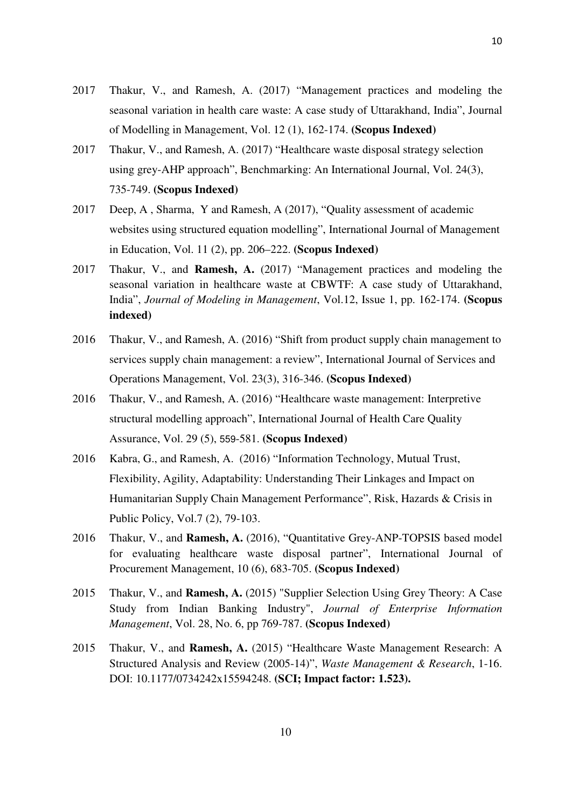- 2017 Thakur, V., and Ramesh, A. (2017) "Management practices and modeling the seasonal variation in health care waste: A case study of Uttarakhand, India", Journal of Modelling in Management, Vol. 12 (1), 162-174. **(Scopus Indexed)**
- 2017 Thakur, V., and Ramesh, A. (2017) "Healthcare waste disposal strategy selection using grey-AHP approach", Benchmarking: An International Journal, Vol. 24(3), 735-749. **(Scopus Indexed)**
- 2017 Deep, A , Sharma, Y and Ramesh, A (2017), "Quality assessment of academic websites using structured equation modelling", International Journal of Management in Education, Vol. 11 (2), pp. 206–222. **(Scopus Indexed)**
- 2017 Thakur, V., and **Ramesh, A.** (2017) "Management practices and modeling the seasonal variation in healthcare waste at CBWTF: A case study of Uttarakhand, India", *Journal of Modeling in Management*, Vol.12, Issue 1, pp. 162-174. **(Scopus indexed)**
- 2016 Thakur, V., and Ramesh, A. (2016) "Shift from product supply chain management to services supply chain management: a review", International Journal of Services and Operations Management, Vol. 23(3), 316-346. **(Scopus Indexed)**
- 2016 Thakur, V., and Ramesh, A. (2016) "Healthcare waste management: Interpretive structural modelling approach", International Journal of Health Care Quality Assurance, Vol. 29 (5), 559-581. **(Scopus Indexed)**
- 2016 Kabra, G., and Ramesh, A. (2016) "Information Technology, Mutual Trust, Flexibility, Agility, Adaptability: Understanding Their Linkages and Impact on Humanitarian Supply Chain Management Performance", Risk, Hazards & Crisis in Public Policy, Vol.7 (2), 79-103.
- 2016 Thakur, V., and **Ramesh, A.** (2016), "Quantitative Grey-ANP-TOPSIS based model for evaluating healthcare waste disposal partner", International Journal of Procurement Management, 10 (6), 683-705. **(Scopus Indexed)**
- 2015 Thakur, V., and **Ramesh, A.** (2015) "Supplier Selection Using Grey Theory: A Case Study from Indian Banking Industry", *Journal of Enterprise Information Management*, Vol. 28, No. 6, pp 769-787. **(Scopus Indexed)**
- 2015 Thakur, V., and **Ramesh, A.** (2015) "Healthcare Waste Management Research: A Structured Analysis and Review (2005-14)", *Waste Management & Research*, 1-16. DOI: 10.1177/0734242x15594248. **(SCI; Impact factor: 1.523).**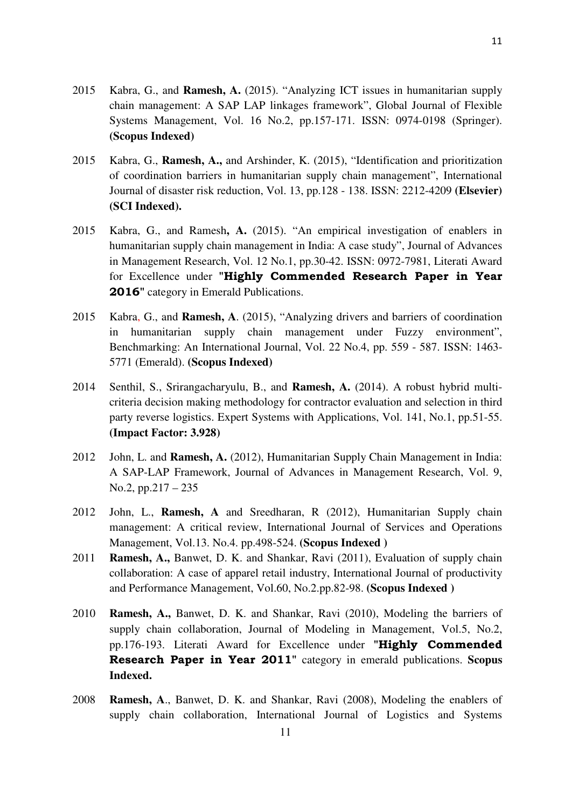- 2015 Kabra, G., and **Ramesh, A.** (2015). "Analyzing ICT issues in humanitarian supply chain management: A SAP LAP linkages framework", Global Journal of Flexible Systems Management, Vol. 16 No.2, pp.157-171. ISSN: 0974-0198 (Springer). **(Scopus Indexed)**
- 2015 Kabra, G., **Ramesh, A.,** and Arshinder, K. (2015), "Identification and prioritization of coordination barriers in humanitarian supply chain management", International Journal of disaster risk reduction, Vol. 13, pp.128 - 138. ISSN: 2212-4209 **(Elsevier) (SCI Indexed).**
- 2015 Kabra, G., and Ramesh**, A.** (2015). "An empirical investigation of enablers in humanitarian supply chain management in India: A case study", Journal of Advances in Management Research, Vol. 12 No.1, pp.30-42. ISSN: 0972-7981, Literati Award for Excellence under **"Highly Commended Research Paper in Year 2016"** category in Emerald Publications.
- 2015 Kabra, G., and **Ramesh, A**. (2015), "Analyzing drivers and barriers of coordination in humanitarian supply chain management under Fuzzy environment", Benchmarking: An International Journal, Vol. 22 No.4, pp. 559 - 587. ISSN: 1463- 5771 (Emerald). **(Scopus Indexed)**
- 2014 Senthil, S., Srirangacharyulu, B., and **Ramesh, A.** (2014). A robust hybrid multicriteria decision making methodology for contractor evaluation and selection in third party reverse logistics. Expert Systems with Applications, Vol. 141, No.1, pp.51-55. **(Impact Factor: 3.928)**
- 2012 John, L. and **Ramesh, A.** (2012), Humanitarian Supply Chain Management in India: A SAP-LAP Framework, Journal of Advances in Management Research, Vol. 9, No.2, pp.217 – 235
- 2012 John, L., **Ramesh, A** and Sreedharan, R (2012), Humanitarian Supply chain management: A critical review, International Journal of Services and Operations Management, Vol.13. No.4. pp.498-524. **(Scopus Indexed )**
- 2011 **Ramesh, A.,** Banwet, D. K. and Shankar, Ravi (2011), Evaluation of supply chain collaboration: A case of apparel retail industry, International Journal of productivity and Performance Management, Vol.60, No.2.pp.82-98. **(Scopus Indexed )**
- 2010 **Ramesh, A.,** Banwet, D. K. and Shankar, Ravi (2010), Modeling the barriers of supply chain collaboration, Journal of Modeling in Management, Vol.5, No.2, pp.176-193. Literati Award for Excellence under **"Highly Commended Research Paper in Year 2011"** category in emerald publications. **Scopus Indexed.**
- 2008 **Ramesh, A**., Banwet, D. K. and Shankar, Ravi (2008), Modeling the enablers of supply chain collaboration, International Journal of Logistics and Systems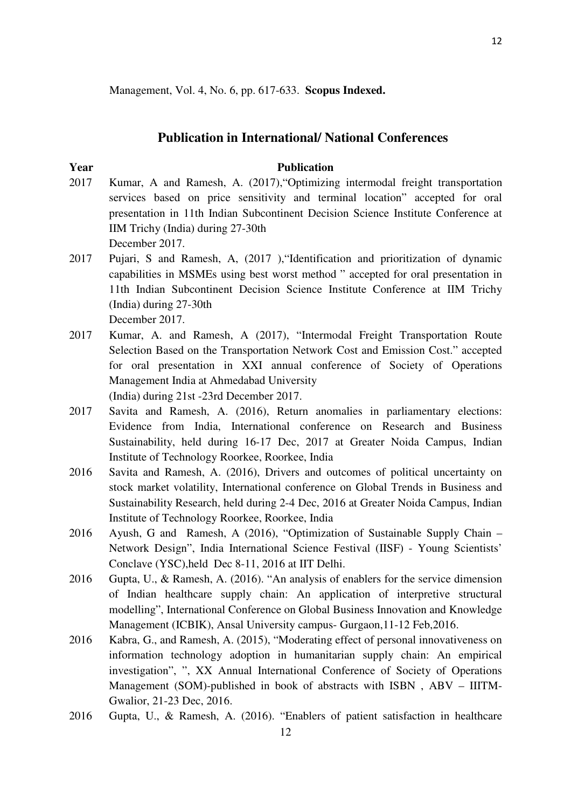Management, Vol. 4, No. 6, pp. 617-633. **Scopus Indexed.**

### **Publication in International/ National Conferences**

# **Year** Publication

2017 Kumar, A and Ramesh, A. (2017),"Optimizing intermodal freight transportation services based on price sensitivity and terminal location" accepted for oral presentation in 11th Indian Subcontinent Decision Science Institute Conference at IIM Trichy (India) during 27-30th

December 2017.

- 2017 Pujari, S and Ramesh, A, (2017 ),"Identification and prioritization of dynamic capabilities in MSMEs using best worst method " accepted for oral presentation in 11th Indian Subcontinent Decision Science Institute Conference at IIM Trichy (India) during 27-30th December 2017.
- 2017 Kumar, A. and Ramesh, A (2017), "Intermodal Freight Transportation Route Selection Based on the Transportation Network Cost and Emission Cost." accepted for oral presentation in XXI annual conference of Society of Operations Management India at Ahmedabad University (India) during 21st -23rd December 2017.
- 2017 Savita and Ramesh, A. (2016), Return anomalies in parliamentary elections: Evidence from India, International conference on Research and Business Sustainability, held during 16-17 Dec, 2017 at Greater Noida Campus, Indian Institute of Technology Roorkee, Roorkee, India
- 2016 Savita and Ramesh, A. (2016), Drivers and outcomes of political uncertainty on stock market volatility, International conference on Global Trends in Business and Sustainability Research, held during 2-4 Dec, 2016 at Greater Noida Campus, Indian Institute of Technology Roorkee, Roorkee, India
- 2016 Ayush, G and Ramesh, A (2016), "Optimization of Sustainable Supply Chain Network Design", India International Science Festival (IISF) - Young Scientists' Conclave (YSC),held Dec 8-11, 2016 at IIT Delhi.
- 2016 Gupta, U., & Ramesh, A. (2016). "An analysis of enablers for the service dimension of Indian healthcare supply chain: An application of interpretive structural modelling", International Conference on Global Business Innovation and Knowledge Management (ICBIK), Ansal University campus- Gurgaon,11-12 Feb,2016.
- 2016 Kabra, G., and Ramesh, A. (2015), "Moderating effect of personal innovativeness on information technology adoption in humanitarian supply chain: An empirical investigation", ", XX Annual International Conference of Society of Operations Management (SOM)-published in book of abstracts with ISBN , ABV – IIITM-Gwalior, 21-23 Dec, 2016.
- 2016 Gupta, U., & Ramesh, A. (2016). "Enablers of patient satisfaction in healthcare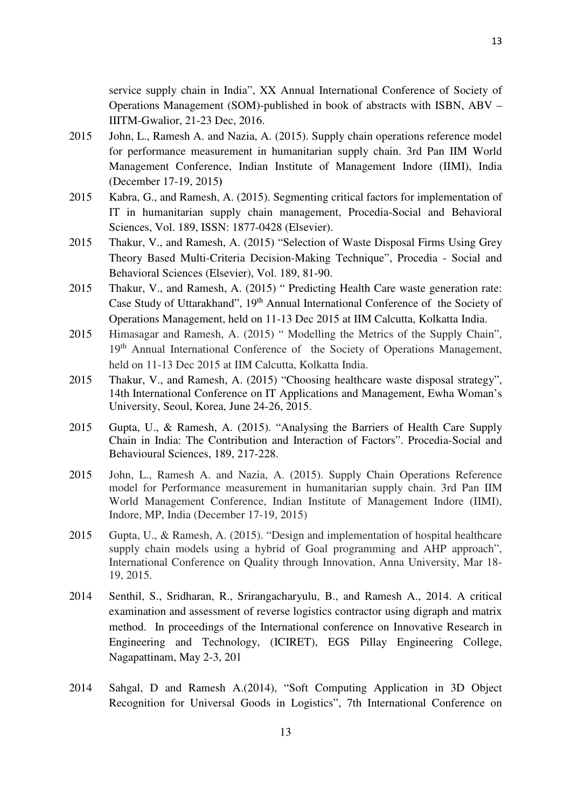service supply chain in India", XX Annual International Conference of Society of Operations Management (SOM)-published in book of abstracts with ISBN, ABV – IIITM-Gwalior, 21-23 Dec, 2016.

- 2015 John, L., Ramesh A. and Nazia, A. (2015). Supply chain operations reference model for performance measurement in humanitarian supply chain. 3rd Pan IIM World Management Conference, Indian Institute of Management Indore (IIMI), India (December 17-19, 2015**)**
- 2015 Kabra, G., and Ramesh, A. (2015). Segmenting critical factors for implementation of IT in humanitarian supply chain management, Procedia-Social and Behavioral Sciences, Vol. 189, ISSN: 1877-0428 (Elsevier).
- 2015 Thakur, V., and Ramesh, A. (2015) "Selection of Waste Disposal Firms Using Grey Theory Based Multi-Criteria Decision-Making Technique", Procedia - Social and Behavioral Sciences (Elsevier), Vol. 189, 81-90.
- 2015 Thakur, V., and Ramesh, A. (2015) " Predicting Health Care waste generation rate: Case Study of Uttarakhand", 19th Annual International Conference of the Society of Operations Management, held on 11-13 Dec 2015 at IIM Calcutta, Kolkatta India.
- 2015 Himasagar and Ramesh, A. (2015) " Modelling the Metrics of the Supply Chain", 19<sup>th</sup> Annual International Conference of the Society of Operations Management, held on 11-13 Dec 2015 at IIM Calcutta, Kolkatta India.
- 2015 Thakur, V., and Ramesh, A. (2015) "Choosing healthcare waste disposal strategy", 14th International Conference on IT Applications and Management, Ewha Woman's University, Seoul, Korea, June 24-26, 2015.
- 2015 Gupta, U., & Ramesh, A. (2015). "Analysing the Barriers of Health Care Supply Chain in India: The Contribution and Interaction of Factors". Procedia-Social and Behavioural Sciences, 189, 217-228.
- 2015 John, L., Ramesh A. and Nazia, A. (2015). Supply Chain Operations Reference model for Performance measurement in humanitarian supply chain. 3rd Pan IIM World Management Conference, Indian Institute of Management Indore (IIMI), Indore, MP, India (December 17-19, 2015)
- 2015 Gupta, U., & Ramesh, A. (2015). "Design and implementation of hospital healthcare supply chain models using a hybrid of Goal programming and AHP approach", International Conference on Quality through Innovation, Anna University, Mar 18- 19, 2015.
- 2014 Senthil, S., Sridharan, R., Srirangacharyulu, B., and Ramesh A., 2014. A critical examination and assessment of reverse logistics contractor using digraph and matrix method. In proceedings of the International conference on Innovative Research in Engineering and Technology, (ICIRET), EGS Pillay Engineering College, Nagapattinam, May 2-3, 201
- 2014 Sahgal, D and Ramesh A.(2014), "Soft Computing Application in 3D Object Recognition for Universal Goods in Logistics", 7th International Conference on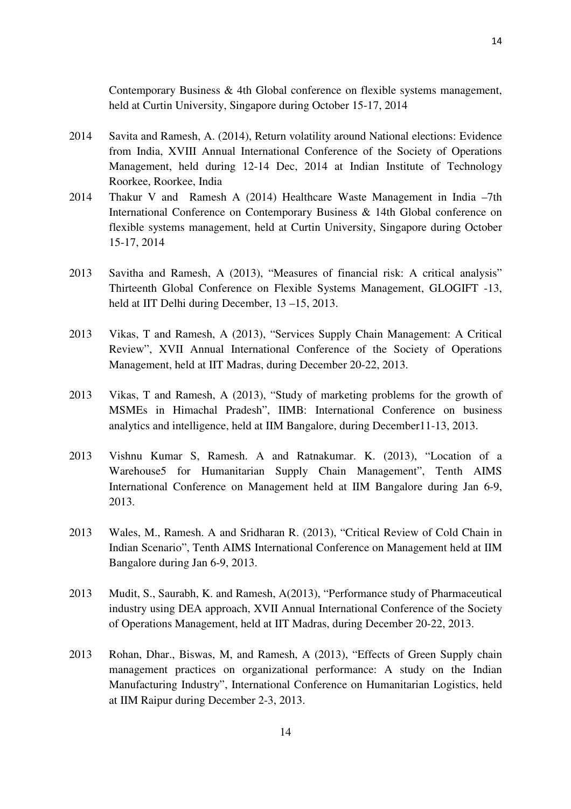Contemporary Business & 4th Global conference on flexible systems management, held at Curtin University, Singapore during October 15-17, 2014

- 2014 Savita and Ramesh, A. (2014), Return volatility around National elections: Evidence from India, XVIII Annual International Conference of the Society of Operations Management, held during 12-14 Dec, 2014 at Indian Institute of Technology Roorkee, Roorkee, India
- 2014 Thakur V and Ramesh A (2014) Healthcare Waste Management in India –7th International Conference on Contemporary Business & 14th Global conference on flexible systems management, held at Curtin University, Singapore during October 15-17, 2014
- 2013 Savitha and Ramesh, A (2013), "Measures of financial risk: A critical analysis" Thirteenth Global Conference on Flexible Systems Management, GLOGIFT -13, held at IIT Delhi during December, 13 –15, 2013.
- 2013 Vikas, T and Ramesh, A (2013), "Services Supply Chain Management: A Critical Review", XVII Annual International Conference of the Society of Operations Management, held at IIT Madras, during December 20-22, 2013.
- 2013 Vikas, T and Ramesh, A (2013), "Study of marketing problems for the growth of MSMEs in Himachal Pradesh", IIMB: International Conference on business analytics and intelligence, held at IIM Bangalore, during December11-13, 2013.
- 2013 Vishnu Kumar S, Ramesh. A and Ratnakumar. K. (2013), "Location of a Warehouse5 for Humanitarian Supply Chain Management", Tenth AIMS International Conference on Management held at IIM Bangalore during Jan 6-9, 2013.
- 2013 Wales, M., Ramesh. A and Sridharan R. (2013), "Critical Review of Cold Chain in Indian Scenario", Tenth AIMS International Conference on Management held at IIM Bangalore during Jan 6-9, 2013.
- 2013 Mudit, S., Saurabh, K. and Ramesh, A(2013), "Performance study of Pharmaceutical industry using DEA approach, XVII Annual International Conference of the Society of Operations Management, held at IIT Madras, during December 20-22, 2013.
- 2013 Rohan, Dhar., Biswas, M, and Ramesh, A (2013), "Effects of Green Supply chain management practices on organizational performance: A study on the Indian Manufacturing Industry", International Conference on Humanitarian Logistics, held at IIM Raipur during December 2-3, 2013.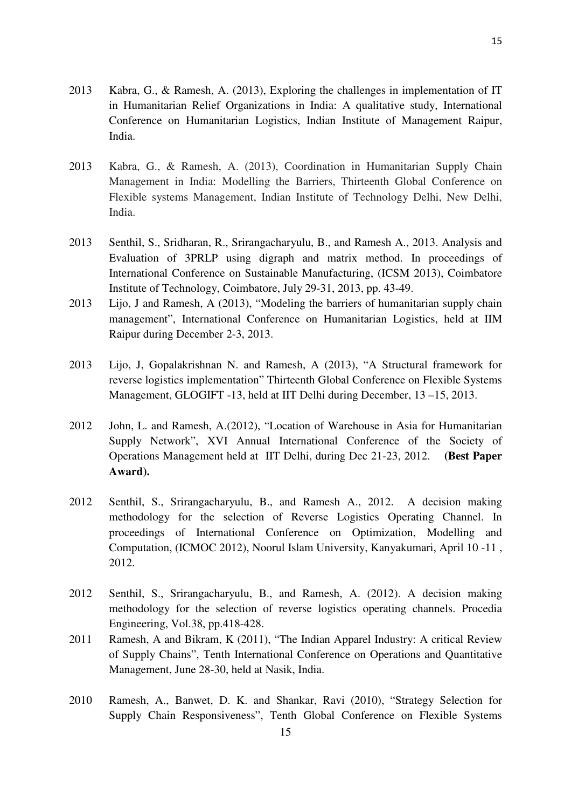- 2013 Kabra, G., & Ramesh, A. (2013), Exploring the challenges in implementation of IT in Humanitarian Relief Organizations in India: A qualitative study, International Conference on Humanitarian Logistics, Indian Institute of Management Raipur, India.
- 2013 Kabra, G., & Ramesh, A. (2013), Coordination in Humanitarian Supply Chain Management in India: Modelling the Barriers, Thirteenth Global Conference on Flexible systems Management, Indian Institute of Technology Delhi, New Delhi, India.
- 2013 Senthil, S., Sridharan, R., Srirangacharyulu, B., and Ramesh A., 2013. Analysis and Evaluation of 3PRLP using digraph and matrix method. In proceedings of International Conference on Sustainable Manufacturing, (ICSM 2013), Coimbatore Institute of Technology, Coimbatore, July 29-31, 2013, pp. 43-49.
- 2013 Lijo, J and Ramesh, A (2013), "Modeling the barriers of humanitarian supply chain management", International Conference on Humanitarian Logistics, held at IIM Raipur during December 2-3, 2013.
- 2013 Lijo, J, Gopalakrishnan N. and Ramesh, A (2013), "A Structural framework for reverse logistics implementation" Thirteenth Global Conference on Flexible Systems Management, GLOGIFT -13, held at IIT Delhi during December, 13 –15, 2013.
- 2012 John, L. and Ramesh, A.(2012), "Location of Warehouse in Asia for Humanitarian Supply Network", XVI Annual International Conference of the Society of Operations Management held at IIT Delhi, during Dec 21-23, 2012. **(Best Paper Award).**
- 2012 Senthil, S., Srirangacharyulu, B., and Ramesh A., 2012. A decision making methodology for the selection of Reverse Logistics Operating Channel. In proceedings of International Conference on Optimization, Modelling and Computation, (ICMOC 2012), Noorul Islam University, Kanyakumari, April 10 -11 , 2012.
- 2012 Senthil, S., Srirangacharyulu, B., and Ramesh, A. (2012). A decision making methodology for the selection of reverse logistics operating channels. Procedia Engineering, Vol.38, pp.418-428.
- 2011 Ramesh, A and Bikram, K (2011), "The Indian Apparel Industry: A critical Review of Supply Chains", Tenth International Conference on Operations and Quantitative Management, June 28-30, held at Nasik, India.
- 2010 Ramesh, A., Banwet, D. K. and Shankar, Ravi (2010), "Strategy Selection for Supply Chain Responsiveness", Tenth Global Conference on Flexible Systems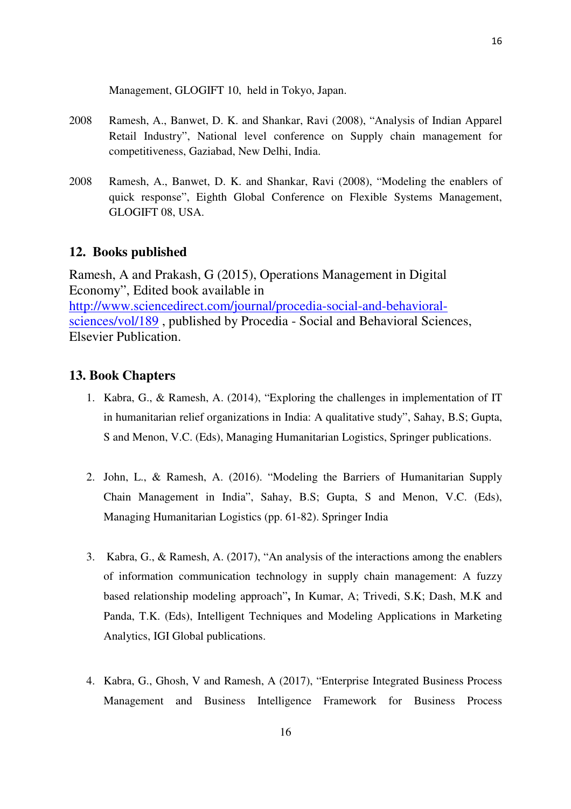Management, GLOGIFT 10, held in Tokyo, Japan.

- 2008 Ramesh, A., Banwet, D. K. and Shankar, Ravi (2008), "Analysis of Indian Apparel Retail Industry", National level conference on Supply chain management for competitiveness, Gaziabad, New Delhi, India.
- 2008 Ramesh, A., Banwet, D. K. and Shankar, Ravi (2008), "Modeling the enablers of quick response", Eighth Global Conference on Flexible Systems Management, GLOGIFT 08, USA.

### **12. Books published**

Ramesh, A and Prakash, G (2015), Operations Management in Digital Economy", Edited book available in http://www.sciencedirect.com/journal/procedia-social-and-behavioralsciences/vol/189 , published by Procedia - Social and Behavioral Sciences, Elsevier Publication.

#### **13. Book Chapters**

- 1. Kabra, G., & Ramesh, A. (2014), "Exploring the challenges in implementation of IT in humanitarian relief organizations in India: A qualitative study", Sahay, B.S; Gupta, S and Menon, V.C. (Eds), Managing Humanitarian Logistics, Springer publications.
- 2. John, L., & Ramesh, A. (2016). "Modeling the Barriers of Humanitarian Supply Chain Management in India", Sahay, B.S; Gupta, S and Menon, V.C. (Eds), Managing Humanitarian Logistics (pp. 61-82). Springer India
- 3. Kabra, G., & Ramesh, A. (2017), "An analysis of the interactions among the enablers of information communication technology in supply chain management: A fuzzy based relationship modeling approach"**,** In Kumar, A; Trivedi, S.K; Dash, M.K and Panda, T.K. (Eds), Intelligent Techniques and Modeling Applications in Marketing Analytics, IGI Global publications.
- 4. Kabra, G., Ghosh, V and Ramesh, A (2017), "Enterprise Integrated Business Process Management and Business Intelligence Framework for Business Process